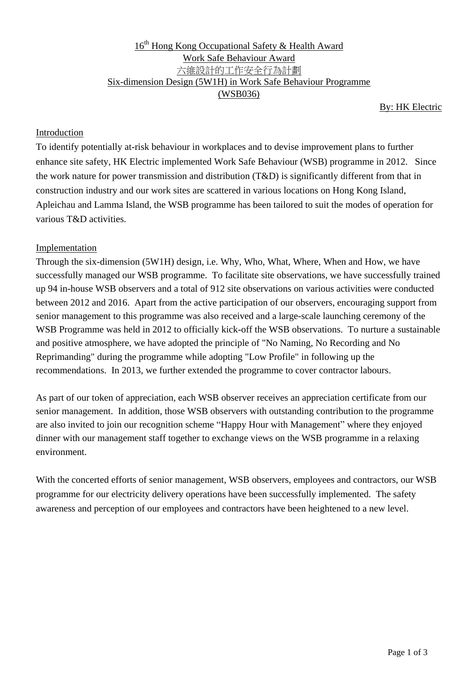### 16<sup>th</sup> Hong Kong Occupational Safety & Health Award Work Safe Behaviour Award 六維設計的工作安全行為計劃 Six-dimension Design (5W1H) in Work Safe Behaviour Programme (WSB036)

By: HK Electric

### Introduction

To identify potentially at-risk behaviour in workplaces and to devise improvement plans to further enhance site safety, HK Electric implemented Work Safe Behaviour (WSB) programme in 2012. Since the work nature for power transmission and distribution (T&D) is significantly different from that in construction industry and our work sites are scattered in various locations on Hong Kong Island, Apleichau and Lamma Island, the WSB programme has been tailored to suit the modes of operation for various T&D activities.

#### Implementation

Through the six-dimension (5W1H) design, i.e. Why, Who, What, Where, When and How, we have successfully managed our WSB programme. To facilitate site observations, we have successfully trained up 94 in-house WSB observers and a total of 912 site observations on various activities were conducted between 2012 and 2016. Apart from the active participation of our observers, encouraging support from senior management to this programme was also received and a large-scale launching ceremony of the WSB Programme was held in 2012 to officially kick-off the WSB observations. To nurture a sustainable and positive atmosphere, we have adopted the principle of "No Naming, No Recording and No Reprimanding" during the programme while adopting "Low Profile" in following up the recommendations. In 2013, we further extended the programme to cover contractor labours.

As part of our token of appreciation, each WSB observer receives an appreciation certificate from our senior management. In addition, those WSB observers with outstanding contribution to the programme are also invited to join our recognition scheme "Happy Hour with Management" where they enjoyed dinner with our management staff together to exchange views on the WSB programme in a relaxing environment.

With the concerted efforts of senior management, WSB observers, employees and contractors, our WSB programme for our electricity delivery operations have been successfully implemented. The safety awareness and perception of our employees and contractors have been heightened to a new level.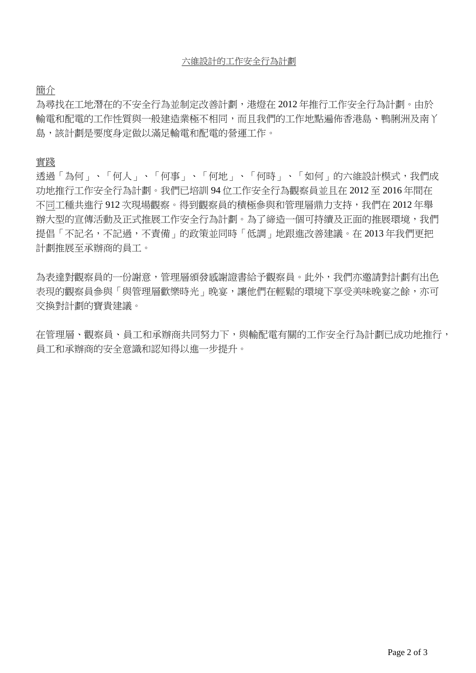簡介

為尋找在工地潛在的不安全行為並制定改善計劃,港燈在 2012 年推行工作安全行為計劃。由於 輸電和配電的工作性質與一般建造業極不相同,而且我們的工作地點遍佈香港島、鴨脷洲及南丫 島,該計劃是要度身定做以滿足輸電和配電的營運工作。

實踐

透過「為何」、「何人」、「何事」、「何地」、「何時」、「如何」的六維設計模式,我們成 功地推行工作安全行為計劃。我們已培訓 94 位工作安全行為觀察員並且在 2012 至 2016 年間在 不同工種共進行 912 次現場觀察。得到觀察員的積極參與和管理層鼎力支持,我們在 2012 年舉 辦大型的宣傳活動及正式推展工作安全行為計劃。為了締造一個可持續及正面的推展環境,我們 提倡「不記名,不記過,不責備」的政策並同時「低調」地跟進改善建議。在 2013 年我們更把 計劃推展至承辦商的員工。

為表達對觀察員的一份謝意,管理層頒發感謝證書給予觀察員。此外,我們亦激請對計劃有出色 表現的觀察員參與「與管理層歡樂時光」晚宴,讓他們在輕鬆的環境下享受美味晚宴之餘,亦可 交換對計劃的寶貴建議。

在管理層、觀察員、員工和承辦商共同努力下,與輸配電有關的工作安全行為計劃已成功地推行, 員工和承辦商的安全意識和認知得以進一步提升。